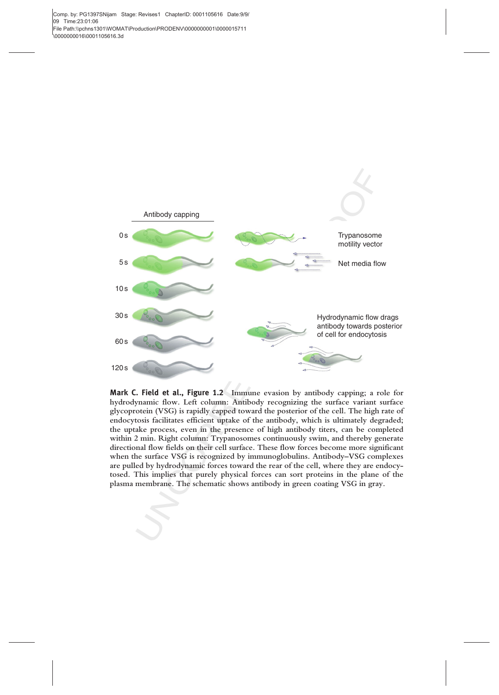Comp. by: PG1397SNijam Stage: Revises1 ChapterID: 0001105616 Date:9/9/ 09 Time:23:01:06 File Path:\\pchns1301\WOMAT\Production\PRODENV\0000000001\0000015711 \0000000016\0001105616.3d



**Possible 1999**<br> **Example 2008**<br> **Example 2008**<br> **Example 2008**<br> **Example 2008**<br> **Example 2008**<br>
otein (VSG) is rapidly capped toward the posterio<br>
otein (VSG) is rapidly capped toward the posterio<br>
tosis facilitates effic Mark C. Field et al., Figure 1.2 Immune evasion by antibody capping; a role for hydrodynamic flow. Left column: Antibody recognizing the surface variant surface glycoprotein (VSG) is rapidly capped toward the posterior of the cell. The high rate of endocytosis facilitates efficient uptake of the antibody, which is ultimately degraded; the uptake process, even in the presence of high antibody titers, can be completed within 2 min. Right column: Trypanosomes continuously swim, and thereby generate directional flow fields on their cell surface. These flow forces become more significant when the surface VSG is recognized by immunoglobulins. Antibody–VSG complexes are pulled by hydrodynamic forces toward the rear of the cell, where they are endocytosed. This implies that purely physical forces can sort proteins in the plane of the plasma membrane. The schematic shows antibody in green coating VSG in gray.